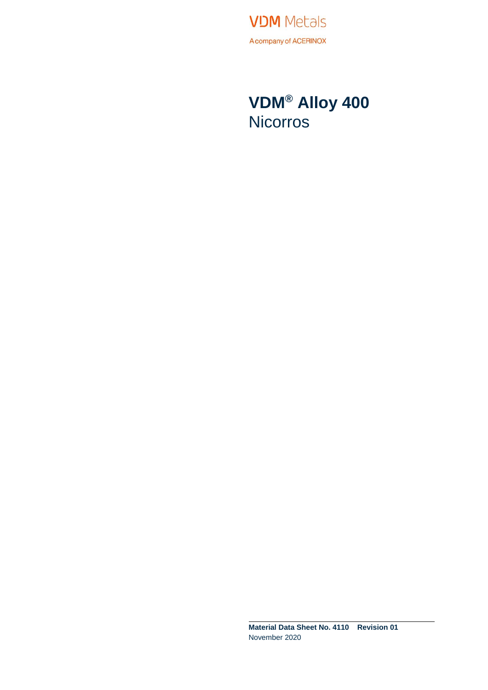**VDM** Metals A company of ACERINOX

### **VDM® Alloy 400 Nicorros**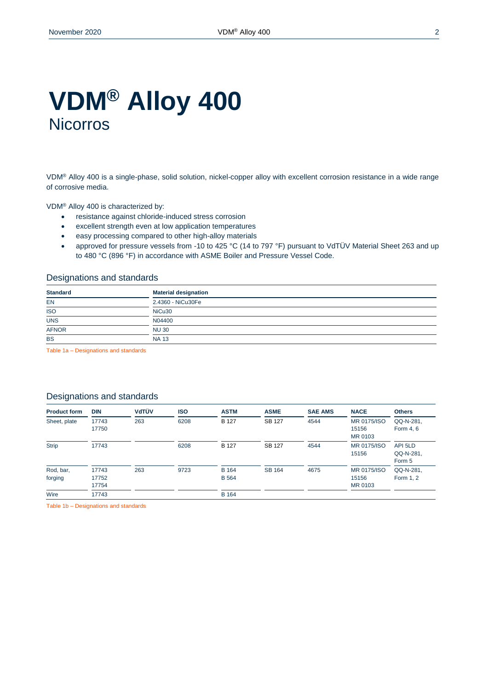### **VDM® Alloy 400 Nicorros**

VDM® Alloy 400 is a single-phase, solid solution, nickel-copper alloy with excellent corrosion resistance in a wide range of corrosive media.

VDM® Alloy 400 is characterized by:

- resistance against chloride-induced stress corrosion
- excellent strength even at low application temperatures
- easy processing compared to other high-alloy materials
- approved for pressure vessels from -10 to 425 °C (14 to 797 °F) pursuant to VdTÜV Material Sheet 263 and up to 480 °C (896 °F) in accordance with ASME Boiler and Pressure Vessel Code.

#### Designations and standards

| <b>Standard</b>                               | <b>Material designation</b> |
|-----------------------------------------------|-----------------------------|
| EN                                            | 2.4360 - NiCu30Fe           |
| <b>ISO</b><br>$\overline{\phantom{a}}$        | NiCu30                      |
| <b>UNS</b><br>the contract of the contract of | N04400                      |
| <b>AFNOR</b>                                  | <b>NU30</b>                 |
| <b>BS</b>                                     | <b>NA 13</b>                |

Table 1a – Designations and standards

#### Designations and standards

| <b>Product form</b>  | <b>DIN</b>              | VdTÜV | <b>ISO</b> | <b>ASTM</b>                  | <b>ASME</b>   | <b>SAE AMS</b> | <b>NACE</b>                     | <b>Others</b>                  |
|----------------------|-------------------------|-------|------------|------------------------------|---------------|----------------|---------------------------------|--------------------------------|
| Sheet, plate         | 17743<br>17750          | 263   | 6208       | <b>B</b> 127                 | <b>SB 127</b> | 4544           | MR 0175/ISO<br>15156<br>MR 0103 | QQ-N-281,<br>Form 4, 6         |
| <b>Strip</b>         | 17743                   |       | 6208       | <b>B</b> 127                 | <b>SB 127</b> | 4544           | MR 0175/ISO<br>15156            | API 5LD<br>QQ-N-281.<br>Form 5 |
| Rod, bar,<br>forging | 17743<br>17752<br>17754 | 263   | 9723       | <b>B</b> 164<br><b>B</b> 564 | <b>SB 164</b> | 4675           | MR 0175/ISO<br>15156<br>MR 0103 | QQ-N-281,<br>Form 1, 2         |
| Wire                 | 17743                   |       |            | <b>B</b> 164                 |               |                |                                 |                                |

Table 1b – Designations and standards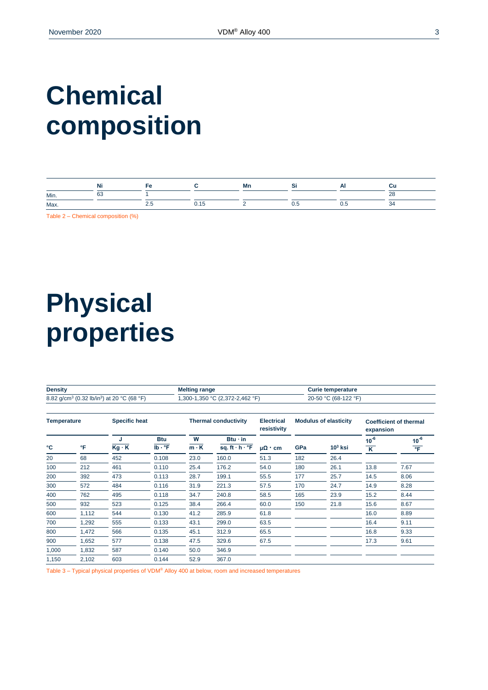# **Chemical composition**

|      | .<br>Ni |                          | Mn |                | uu                    |
|------|---------|--------------------------|----|----------------|-----------------------|
| Min. | $\sim$  |                          |    |                | $\sim$<br>ᅩ<br>$\sim$ |
| Max. |         | $\overline{\phantom{a}}$ |    | <br>v.J<br>. . | ≺∠<br>◡᠇              |

Table 2 – Chemical composition (%)

## **Physical properties**

| <b>Density</b>                      |       |                                                                    |                                  | <b>Melting range</b> |                                               |                              |                      | <b>Curie temperature</b> |                                      |                                   |  |
|-------------------------------------|-------|--------------------------------------------------------------------|----------------------------------|----------------------|-----------------------------------------------|------------------------------|----------------------|--------------------------|--------------------------------------|-----------------------------------|--|
|                                     |       | 8.82 g/cm <sup>3</sup> (0.32 lb/in <sup>3</sup> ) at 20 °C (68 °F) | 1,300-1,350 °C (2,372-2,462 °F)  |                      |                                               |                              | 20-50 °C (68-122 °F) |                          |                                      |                                   |  |
| <b>Specific heat</b><br>Temperature |       |                                                                    | <b>Thermal conductivity</b>      |                      | <b>Electrical</b><br>resistivity              | <b>Modulus of elasticity</b> |                      | expansion                | <b>Coefficient of thermal</b>        |                                   |  |
| °C                                  | °F    | J<br>$Kg \cdot K$                                                  | <b>Btu</b><br>$Ib \cdot {}^{o}F$ | W<br>$m \cdot K$     | $Btu \cdot in$<br>sq. ft $\cdot$ h $\cdot$ °F | $\mu\Omega$ · cm             | GPa                  | $103$ ksi                | $10^{-6}$<br>$\overline{\mathsf{K}}$ | $10^{-6}$<br>$\overline{\text{}}$ |  |
| 20                                  | 68    | 452                                                                | 0.108                            | 23.0                 | 160.0                                         | 51.3                         | 182                  | 26.4                     |                                      |                                   |  |
| 100                                 | 212   | 461                                                                | 0.110                            | 25.4                 | 176.2                                         | 54.0                         | 180                  | 26.1                     | 13.8                                 | 7.67                              |  |
| 200                                 | 392   | 473                                                                | 0.113                            | 28.7                 | 199.1                                         | 55.5                         | 177                  | 25.7                     | 14.5                                 | 8.06                              |  |
| 300                                 | 572   | 484                                                                | 0.116                            | 31.9                 | 221.3                                         | 57.5                         | 170                  | 24.7                     | 14.9                                 | 8.28                              |  |
| 400                                 | 762   | 495                                                                | 0.118                            | 34.7                 | 240.8                                         | 58.5                         | 165                  | 23.9                     | 15.2                                 | 8.44                              |  |
| 500                                 | 932   | 523                                                                | 0.125                            | 38.4                 | 266.4                                         | 60.0                         | 150                  | 21.8                     | 15.6                                 | 8.67                              |  |
| 600                                 | 1,112 | 544                                                                | 0.130                            | 41.2                 | 285.9                                         | 61.8                         |                      |                          | 16.0                                 | 8.89                              |  |
| 700                                 | 1,292 | 555                                                                | 0.133                            | 43.1                 | 299.0                                         | 63.5                         |                      |                          | 16.4                                 | 9.11                              |  |
| 800                                 | 1,472 | 566                                                                | 0.135                            | 45.1                 | 312.9                                         | 65.5                         |                      |                          | 16.8                                 | 9.33                              |  |
| 900                                 | 1,652 | 577                                                                | 0.138                            | 47.5                 | 329.6                                         | 67.5                         |                      |                          | 17.3                                 | 9.61                              |  |
| 1,000                               | 1,832 | 587                                                                | 0.140                            | 50.0                 | 346.9                                         |                              |                      |                          |                                      |                                   |  |
| 1,150                               | 2,102 | 603                                                                | 0.144                            | 52.9                 | 367.0                                         |                              |                      |                          |                                      |                                   |  |

Table 3 – Typical physical properties of VDM® Alloy 400 at below, room and increased temperatures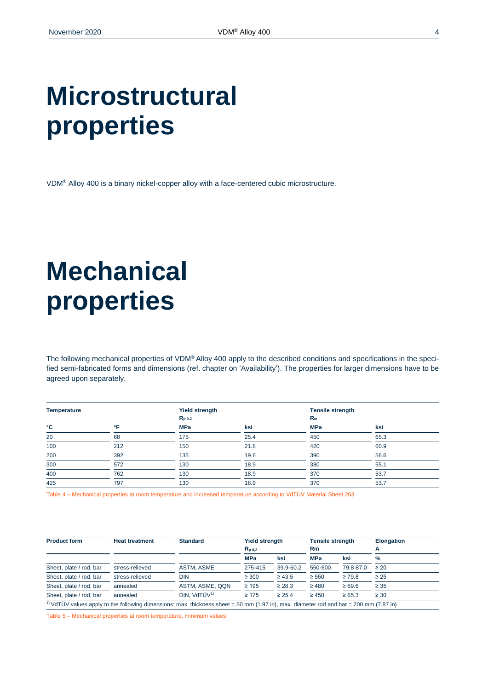## **Microstructural properties**

VDM® Alloy 400 is a binary nickel-copper alloy with a face-centered cubic microstructure.

# **Mechanical properties**

The following mechanical properties of VDM® Alloy 400 apply to the described conditions and specifications in the specified semi-fabricated forms and dimensions (ref. chapter on 'Availability'). The properties for larger dimensions have to be agreed upon separately.

| <b>Temperature</b> |            | <b>Yield strength</b> |      | <b>Tensile strength</b> |      |
|--------------------|------------|-----------------------|------|-------------------------|------|
|                    |            | $R_{p0.2}$            |      | $R_m$                   |      |
| °C                 | $^{\circ}$ | <b>MPa</b>            | ksi  | <b>MPa</b>              | ksi  |
| 20                 | 68         | 175                   | 25.4 | 450                     | 65.3 |
| 100                | 212        | 150                   | 21.8 | 420                     | 60.9 |
| 200                | 392        | 135                   | 19.6 | 390                     | 56.6 |
| 300                | 572        | 130                   | 18.9 | 380                     | 55.1 |
| 400                | 762        | 130                   | 18.9 | 370                     | 53.7 |
| 425                | 797        | 130                   | 18.9 | 370                     | 53.7 |

Table 4 – Mechanical properties at room temperature and increased temperature according to VdTÜV Material Sheet 263

| <b>Product form</b>     | <b>Heat treatment</b> | <b>Standard</b>                                                                                                                                                                                                                                                                                                                                 | <b>Yield strength</b> |             | <b>Tensile strength</b> |             | <b>Elongation</b> |  |
|-------------------------|-----------------------|-------------------------------------------------------------------------------------------------------------------------------------------------------------------------------------------------------------------------------------------------------------------------------------------------------------------------------------------------|-----------------------|-------------|-------------------------|-------------|-------------------|--|
|                         |                       |                                                                                                                                                                                                                                                                                                                                                 | $R_{D,0.2}$           |             | Rm                      |             |                   |  |
|                         |                       |                                                                                                                                                                                                                                                                                                                                                 | <b>MPa</b>            | ksi         | <b>MPa</b>              | ksi         | %                 |  |
| Sheet, plate / rod, bar | stress-relieved       | <b>ASTM. ASME</b>                                                                                                                                                                                                                                                                                                                               | 275-415               | 39.9-60.2   | 550-600                 | 79.8-87.0   | $\geq 20$         |  |
| Sheet, plate / rod, bar | stress-relieved       | <b>DIN</b>                                                                                                                                                                                                                                                                                                                                      | $\geq 300$            | $\geq 43.5$ | $\geq 550$              | $\geq 79.8$ | $\geq 25$         |  |
| Sheet, plate / rod, bar | annealed              | ASTM, ASME, QQN                                                                                                                                                                                                                                                                                                                                 | $\geq 195$            | $\geq 28.3$ | $\geq 480$              | $\geq 69.6$ | $\geq 35$         |  |
| Sheet, plate / rod, bar | annealed              | DIN. VdTÜV <sup>1)</sup>                                                                                                                                                                                                                                                                                                                        | $\geq 175$            | $\geq 25.4$ | $\geq 450$              | $\ge 65.3$  | $\geq 30$         |  |
|                         |                       | $0 \times 1$ $\pi$ <sup>2</sup> $0 \times 1$ $\pi$ $1 \times 1$ $\pi$ $1 \times 1$ $\pi$ $1 \times 1$ $\pi$ $1 \times 1$ $\pi$ $1 \times 1$ $\pi$ $1 \times 1$ $\pi$ $1 \times 1$ $\pi$ $1 \times 1$ $\pi$ $1 \times 1$ $\pi$ $1 \times 1$ $\pi$ $1 \times 1$ $\pi$ $1 \times 1$ $\pi$ $1 \times 1$ $\pi$ $1 \times 1$ $\pi$ $1 \times 1$ $\pi$ |                       |             |                         |             |                   |  |

 $10\,\text{Vd}$ TÜV values apply to the following dimensions: max. thickness sheet = 50 mm (1.97 in), max. diameter rod and bar = 200 mm (7.87 in)

Table 5 – Mechanical properties at room temperature, minimum values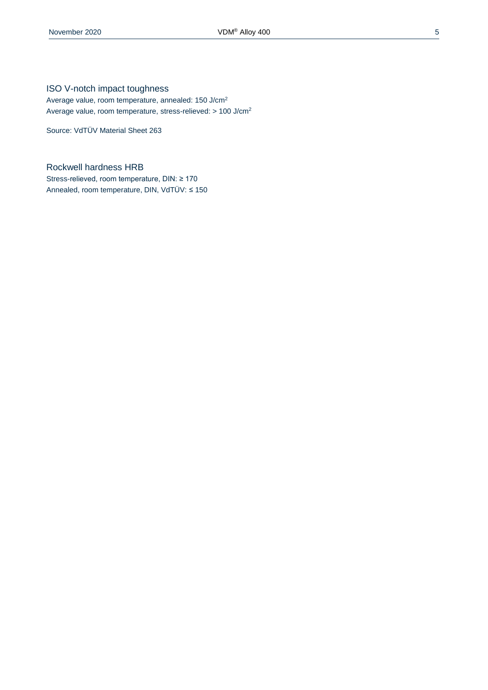Average value, room temperature, annealed: 150 J/cm<sup>2</sup> Average value, room temperature, stress-relieved: > 100 J/cm<sup>2</sup>

Source: VdTÜV Material Sheet 263

#### Rockwell hardness HRB

Stress-relieved, room temperature, DIN: ≥ 170 Annealed, room temperature, DIN, VdTÜV: ≤ 150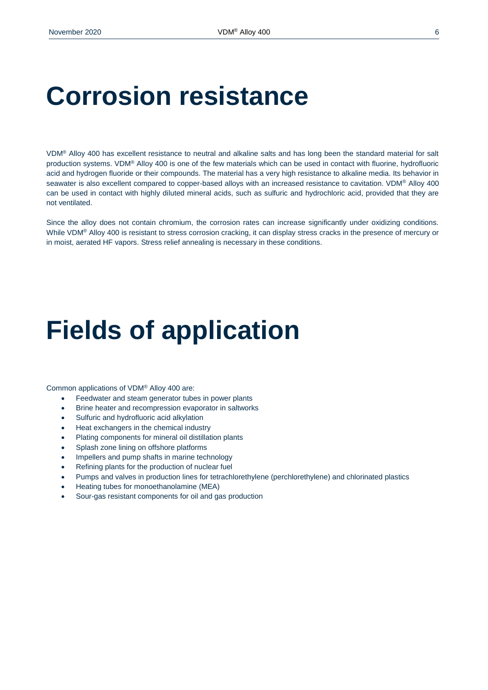### **Corrosion resistance**

VDM® Alloy 400 has excellent resistance to neutral and alkaline salts and has long been the standard material for salt production systems. VDM® Alloy 400 is one of the few materials which can be used in contact with fluorine, hydrofluoric acid and hydrogen fluoride or their compounds. The material has a very high resistance to alkaline media. Its behavior in seawater is also excellent compared to copper-based alloys with an increased resistance to cavitation. VDM® Alloy 400 can be used in contact with highly diluted mineral acids, such as sulfuric and hydrochloric acid, provided that they are not ventilated.

Since the alloy does not contain chromium, the corrosion rates can increase significantly under oxidizing conditions. While VDM® Alloy 400 is resistant to stress corrosion cracking, it can display stress cracks in the presence of mercury or in moist, aerated HF vapors. Stress relief annealing is necessary in these conditions.

### **Fields of application**

Common applications of VDM® Alloy 400 are:

- Feedwater and steam generator tubes in power plants
- **•** Brine heater and recompression evaporator in saltworks
- Sulfuric and hydrofluoric acid alkylation
- Heat exchangers in the chemical industry
- Plating components for mineral oil distillation plants
- Splash zone lining on offshore platforms
- Impellers and pump shafts in marine technology
- Refining plants for the production of nuclear fuel
- Pumps and valves in production lines for tetrachlorethylene (perchlorethylene) and chlorinated plastics
- Heating tubes for monoethanolamine (MEA)
- Sour-gas resistant components for oil and gas production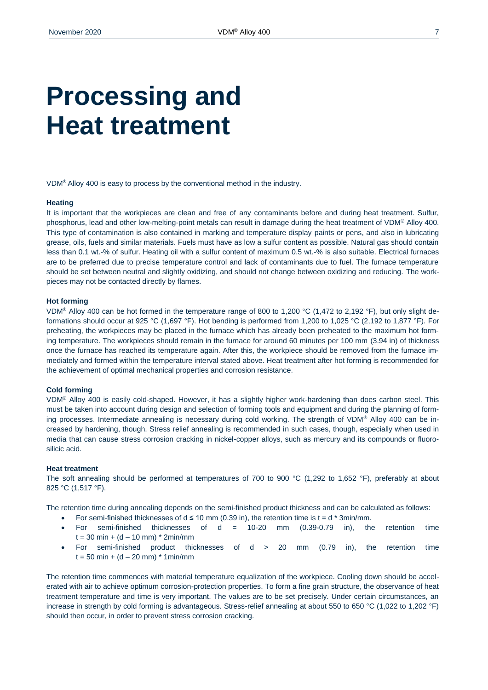### **Processing and Heat treatment**

VDM® Alloy 400 is easy to process by the conventional method in the industry.

#### **Heating**

It is important that the workpieces are clean and free of any contaminants before and during heat treatment. Sulfur, phosphorus, lead and other low-melting-point metals can result in damage during the heat treatment of VDM® Alloy 400. This type of contamination is also contained in marking and temperature display paints or pens, and also in lubricating grease, oils, fuels and similar materials. Fuels must have as low a sulfur content as possible. Natural gas should contain less than 0.1 wt.-% of sulfur. Heating oil with a sulfur content of maximum 0.5 wt.-% is also suitable. Electrical furnaces are to be preferred due to precise temperature control and lack of contaminants due to fuel. The furnace temperature should be set between neutral and slightly oxidizing, and should not change between oxidizing and reducing. The workpieces may not be contacted directly by flames.

#### **Hot forming**

VDM® Alloy 400 can be hot formed in the temperature range of 800 to 1,200 °C (1,472 to 2,192 °F), but only slight deformations should occur at 925 °C (1,697 °F). Hot bending is performed from 1,200 to 1,025 °C (2,192 to 1,877 °F). For preheating, the workpieces may be placed in the furnace which has already been preheated to the maximum hot forming temperature. The workpieces should remain in the furnace for around 60 minutes per 100 mm (3.94 in) of thickness once the furnace has reached its temperature again. After this, the workpiece should be removed from the furnace immediately and formed within the temperature interval stated above. Heat treatment after hot forming is recommended for the achievement of optimal mechanical properties and corrosion resistance.

#### **Cold forming**

VDM® Alloy 400 is easily cold-shaped. However, it has a slightly higher work-hardening than does carbon steel. This must be taken into account during design and selection of forming tools and equipment and during the planning of forming processes. Intermediate annealing is necessary during cold working. The strength of VDM® Alloy 400 can be increased by hardening, though. Stress relief annealing is recommended in such cases, though, especially when used in media that can cause stress corrosion cracking in nickel-copper alloys, such as mercury and its compounds or fluorosilicic acid.

#### **Heat treatment**

The soft annealing should be performed at temperatures of 700 to 900 °C (1,292 to 1,652 °F), preferably at about 825 °C (1,517 °F).

The retention time during annealing depends on the semi-finished product thickness and can be calculated as follows:

- For semi-finished thicknesses of  $d \le 10$  mm (0.39 in), the retention time is  $t = d * 3$ min/mm.
- For semi-finished thicknesses of d = 10-20 mm (0.39-0.79 in), the retention time  $t = 30$  min + (d – 10 mm)  $*$  2min/mm
- For semi-finished product thicknesses of d > 20 mm (0.79 in), the retention time  $t = 50$  min +  $(d - 20$  mm)  $*$  1 min/mm

The retention time commences with material temperature equalization of the workpiece. Cooling down should be accelerated with air to achieve optimum corrosion-protection properties. To form a fine grain structure, the observance of heat treatment temperature and time is very important. The values are to be set precisely. Under certain circumstances, an increase in strength by cold forming is advantageous. Stress-relief annealing at about 550 to 650 °C (1,022 to 1,202 °F) should then occur, in order to prevent stress corrosion cracking.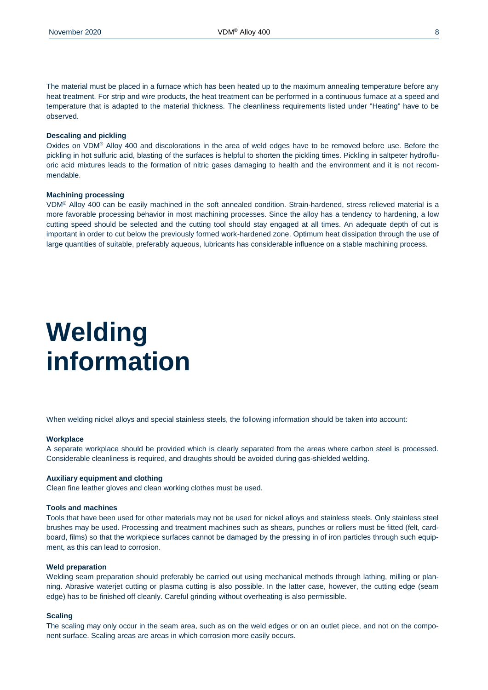The material must be placed in a furnace which has been heated up to the maximum annealing temperature before any heat treatment. For strip and wire products, the heat treatment can be performed in a continuous furnace at a speed and temperature that is adapted to the material thickness. The cleanliness requirements listed under "Heating" have to be observed.

#### **Descaling and pickling**

Oxides on VDM® Alloy 400 and discolorations in the area of weld edges have to be removed before use. Before the pickling in hot sulfuric acid, blasting of the surfaces is helpful to shorten the pickling times. Pickling in saltpeter hydrofluoric acid mixtures leads to the formation of nitric gases damaging to health and the environment and it is not recommendable.

#### **Machining processing**

VDM® Alloy 400 can be easily machined in the soft annealed condition. Strain-hardened, stress relieved material is a more favorable processing behavior in most machining processes. Since the alloy has a tendency to hardening, a low cutting speed should be selected and the cutting tool should stay engaged at all times. An adequate depth of cut is important in order to cut below the previously formed work-hardened zone. Optimum heat dissipation through the use of large quantities of suitable, preferably aqueous, lubricants has considerable influence on a stable machining process.

### **Welding information**

When welding nickel alloys and special stainless steels, the following information should be taken into account:

#### **Workplace**

A separate workplace should be provided which is clearly separated from the areas where carbon steel is processed. Considerable cleanliness is required, and draughts should be avoided during gas-shielded welding.

#### **Auxiliary equipment and clothing**

Clean fine leather gloves and clean working clothes must be used.

#### **Tools and machines**

Tools that have been used for other materials may not be used for nickel alloys and stainless steels. Only stainless steel brushes may be used. Processing and treatment machines such as shears, punches or rollers must be fitted (felt, cardboard, films) so that the workpiece surfaces cannot be damaged by the pressing in of iron particles through such equipment, as this can lead to corrosion.

#### **Weld preparation**

Welding seam preparation should preferably be carried out using mechanical methods through lathing, milling or planning. Abrasive waterjet cutting or plasma cutting is also possible. In the latter case, however, the cutting edge (seam edge) has to be finished off cleanly. Careful grinding without overheating is also permissible.

#### **Scaling**

The scaling may only occur in the seam area, such as on the weld edges or on an outlet piece, and not on the component surface. Scaling areas are areas in which corrosion more easily occurs.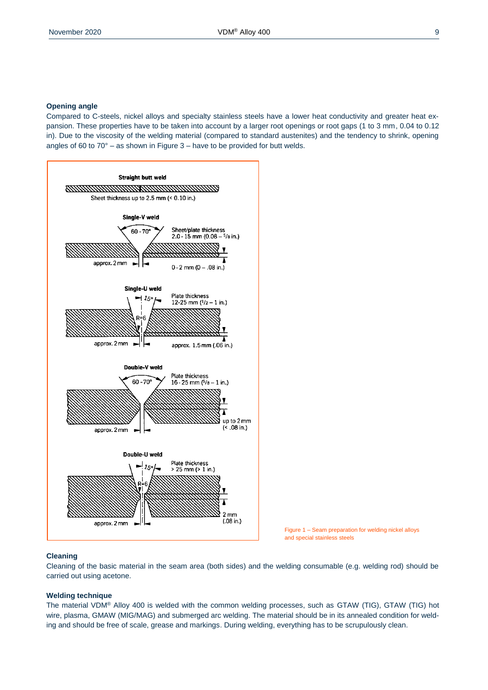#### **Opening angle**

Compared to C-steels, nickel alloys and specialty stainless steels have a lower heat conductivity and greater heat expansion. These properties have to be taken into account by a larger root openings or root gaps (1 to 3 mm, 0.04 to 0.12 in). Due to the viscosity of the welding material (compared to standard austenites) and the tendency to shrink, opening angles of 60 to  $70^{\circ}$  – as shown in Figure 3 – have to be provided for butt welds.



Figure 1 – Seam preparation for welding nickel alloys and special stainless steels

#### **Cleaning**

Cleaning of the basic material in the seam area (both sides) and the welding consumable (e.g. welding rod) should be carried out using acetone.

#### **Welding technique**

The material VDM® Alloy 400 is welded with the common welding processes, such as GTAW (TIG), GTAW (TIG) hot wire, plasma, GMAW (MIG/MAG) and submerged arc welding. The material should be in its annealed condition for welding and should be free of scale, grease and markings. During welding, everything has to be scrupulously clean.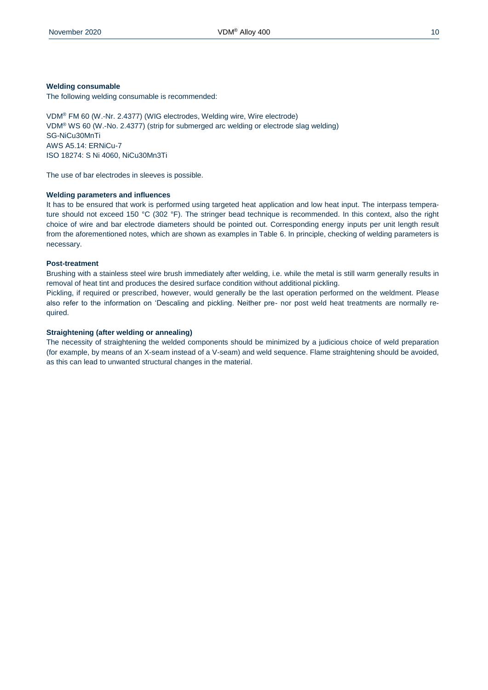#### **Welding consumable**

The following welding consumable is recommended:

VDM® FM 60 (W.-Nr. 2.4377) (WIG electrodes, Welding wire, Wire electrode) VDM® WS 60 (W.-No. 2.4377) (strip for submerged arc welding or electrode slag welding) SG-NiCu30MnTi AWS A5.14: ERNiCu-7 ISO 18274: S Ni 4060, NiCu30Mn3Ti

The use of bar electrodes in sleeves is possible.

#### **Welding parameters and influences**

It has to be ensured that work is performed using targeted heat application and low heat input. The interpass temperature should not exceed 150 °C (302 °F). The stringer bead technique is recommended. In this context, also the right choice of wire and bar electrode diameters should be pointed out. Corresponding energy inputs per unit length result from the aforementioned notes, which are shown as examples in Table 6. In principle, checking of welding parameters is necessary.

#### **Post-treatment**

Brushing with a stainless steel wire brush immediately after welding, i.e. while the metal is still warm generally results in removal of heat tint and produces the desired surface condition without additional pickling.

Pickling, if required or prescribed, however, would generally be the last operation performed on the weldment. Please also refer to the information on 'Descaling and pickling. Neither pre- nor post weld heat treatments are normally required.

#### **Straightening (after welding or annealing)**

The necessity of straightening the welded components should be minimized by a judicious choice of weld preparation (for example, by means of an X-seam instead of a V-seam) and weld sequence. Flame straightening should be avoided, as this can lead to unwanted structural changes in the material.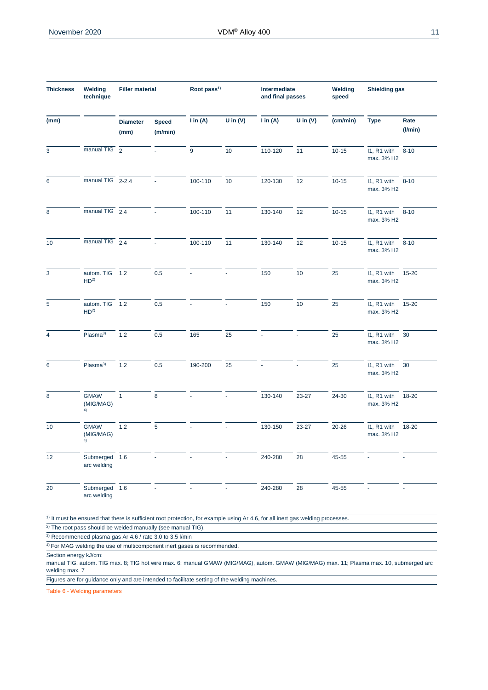| <b>Thickness</b> | Welding<br>technique              | <b>Filler material</b>  |                         | Root pass <sup>1)</sup> |            | Intermediate<br>and final passes |                          | Welding<br>speed | Shielding gas                   |                       |
|------------------|-----------------------------------|-------------------------|-------------------------|-------------------------|------------|----------------------------------|--------------------------|------------------|---------------------------------|-----------------------|
| (mm)             |                                   | <b>Diameter</b><br>(mm) | <b>Speed</b><br>(m/min) | $\mathsf{I}$ in (A)     | U in $(V)$ | $\mathsf{I}$ in (A)              | U in $(V)$               | (cm/min)         | <b>Type</b>                     | Rate<br>$($ l/min $)$ |
| 3                | manual TIG <sub>2</sub>           |                         |                         | 9                       | 10         | 110-120                          | 11                       | $10 - 15$        | I1, R1 with<br>max. 3% H2       | $8 - 10$              |
| 6                | manual TIG 2-2.4                  |                         |                         | 100-110                 | 10         | 120-130                          | 12                       | $10 - 15$        | 11, R1 with 8-10<br>max. 3% H2  |                       |
| 8                | manual TIG 2.4                    |                         |                         | 100-110                 | 11         | 130-140                          | 12                       | $10 - 15$        | I1, R1 with<br>max. 3% H2       | $8 - 10$              |
| 10               | manual TIG $2.4$                  |                         |                         | 100-110                 | 11         | 130-140                          | 12                       | $10 - 15$        | 11, R1 with 8-10<br>max. 3% H2  |                       |
| 3                | autom. TIG 1.2<br>HD <sup>2</sup> |                         | 0.5                     |                         |            | 150                              | 10                       | 25               | I1, R1 with<br>max. 3% H2       | 15-20                 |
| 5                | autom. TIG 1.2<br>HD <sup>2</sup> |                         | 0.5                     |                         |            | 150                              | 10                       | 25               | 11, R1 with 15-20<br>max. 3% H2 |                       |
| 4                | Plasma <sup>3)</sup>              | 1.2                     | 0.5                     | 165                     | 25         |                                  |                          | 25               | I1, R1 with<br>max. 3% H2       | 30                    |
| 6                | Plasma <sup>3</sup>               | 1.2                     | 0.5                     | 190-200                 | 25         |                                  | $\overline{\phantom{a}}$ | 25               | I1, R1 with<br>max. 3% H2       | 30                    |
| 8                | <b>GMAW</b><br>(MIG/MAG)<br>4)    | $\mathbf{1}$            | 8                       | $\omega$                | $\omega$   | 130-140                          | 23-27                    | 24-30            | I1, R1 with<br>max. 3% H2       | 18-20                 |
| 10               | <b>GMAW</b><br>(MIG/MAG)<br>4)    | 1.2                     | 5                       |                         |            | 130-150                          | 23-27                    | $20 - 26$        | I1, R1 with<br>max. 3% H2       | 18-20                 |
| 12               | Submerged 1.6<br>arc welding      |                         |                         |                         |            | 240-280                          | 28                       | 45-55            |                                 |                       |
| 20               | Submerged 1.6<br>arc welding      |                         |                         |                         |            | 240-280                          | 28                       | 45-55            |                                 |                       |

 $\frac{1}{1}$  It must be ensured that there is sufficient root protection, for example using Ar 4.6, for all inert gas welding processes.

 $\overline{2)}$  The root pass should be welded manually (see manual TIG).

<sup>3)</sup> Recommended plasma gas Ar 4.6 / rate 3.0 to 3.5 l/min

<sup>4)</sup> For MAG welding the use of multicomponent inert gases is recommended.

Section energy kJ/cm:

manual TIG, autom. TIG max. 8; TIG hot wire max. 6; manual GMAW (MIG/MAG), autom. GMAW (MIG/MAG) max. 11; Plasma max. 10, submerged arc welding max. 7

Figures are for guidance only and are intended to facilitate setting of the welding machines.

Table 6 - Welding parameters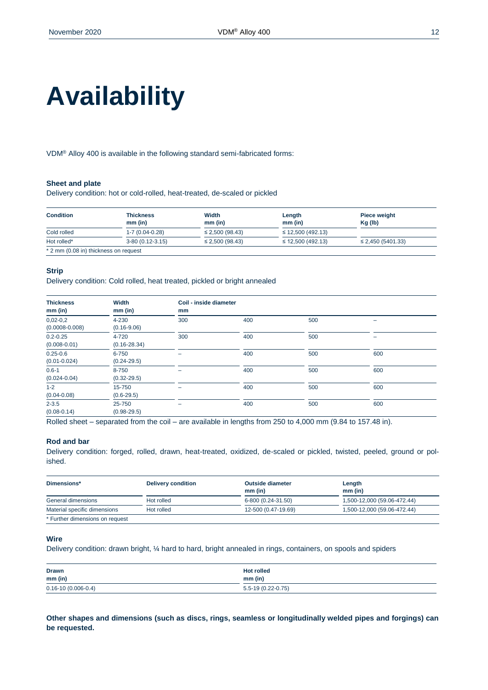# **Availability**

VDM® Alloy 400 is available in the following standard semi-fabricated forms:

#### **Sheet and plate**

Delivery condition: hot or cold-rolled, heat-treated, de-scaled or pickled

| <b>Condition</b>                      | <b>Thickness</b>  | Width                | Length                 | <b>Piece weight</b>    |
|---------------------------------------|-------------------|----------------------|------------------------|------------------------|
|                                       | $mm$ (in)         | $mm$ (in)            | $mm$ (in)              | $Kq$ (lb)              |
| Cold rolled                           | 1-7 (0.04-0.28)   | $\leq$ 2,500 (98.43) | $\leq$ 12,500 (492.13) |                        |
| Hot rolled*                           | $3-80(0.12-3.15)$ | $\leq$ 2,500 (98.43) | $\leq$ 12,500 (492.13) | $\leq$ 2,450 (5401.33) |
| * 2 mm (0.08 in) thickness on request |                   |                      |                        |                        |

#### **Strip**

Delivery condition: Cold rolled, heat treated, pickled or bright annealed

| <b>Thickness</b><br>$mm$ (in)    | Width<br>$mm$ (in)        | Coil - inside diameter<br>mm |     |     |                          |
|----------------------------------|---------------------------|------------------------------|-----|-----|--------------------------|
| $0,02-0,2$<br>$(0.0008 - 0.008)$ | 4-230<br>$(0.16 - 9.06)$  | 300                          | 400 | 500 | $\overline{\phantom{a}}$ |
| $0.2 - 0.25$<br>$(0.008 - 0.01)$ | 4-720<br>$(0.16 - 28.34)$ | 300                          | 400 | 500 | -                        |
| $0.25 - 0.6$<br>$(0.01 - 0.024)$ | 6-750<br>$(0.24 - 29.5)$  | -                            | 400 | 500 | 600                      |
| $0.6 - 1$<br>$(0.024 - 0.04)$    | 8-750<br>$(0.32 - 29.5)$  | -                            | 400 | 500 | 600                      |
| $1 - 2$<br>$(0.04 - 0.08)$       | 15-750<br>$(0.6 - 29.5)$  | -                            | 400 | 500 | 600                      |
| $2 - 3.5$<br>$(0.08 - 0.14)$     | 25-750<br>$(0.98 - 29.5)$ | -                            | 400 | 500 | 600                      |

Rolled sheet – separated from the coil – are available in lengths from 250 to 4,000 mm (9.84 to 157.48 in).

#### **Rod and bar**

Delivery condition: forged, rolled, drawn, heat-treated, oxidized, de-scaled or pickled, twisted, peeled, ground or polished.

| Dimensions*                     | <b>Delivery condition</b> | <b>Outside diameter</b><br>mm (in) | Length<br>$mm$ (in)         |
|---------------------------------|---------------------------|------------------------------------|-----------------------------|
| General dimensions              | Hot rolled                | 6-800 (0.24-31.50)                 | 1,500-12,000 (59.06-472.44) |
| Material specific dimensions    | Hot rolled                | 12-500 (0.47-19.69)                | 1,500-12,000 (59.06-472.44) |
| * Further dimensions on request |                           |                                    |                             |

#### **Wire**

Delivery condition: drawn bright, ¼ hard to hard, bright annealed in rings, containers, on spools and spiders

| <b>Drawn</b>             | <b>Hot rolled</b>   |
|--------------------------|---------------------|
| $mm$ (in)                | $mm$ (in)           |
| $0.16 - 10(0.006 - 0.4)$ | $5.5-19(0.22-0.75)$ |

**Other shapes and dimensions (such as discs, rings, seamless or longitudinally welded pipes and forgings) can be requested.**